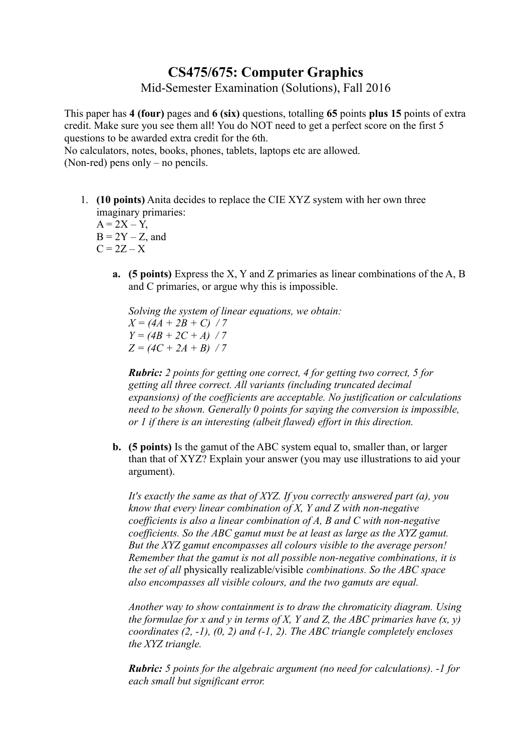## **CS475/675: Computer Graphics**

Mid-Semester Examination (Solutions), Fall 2016

This paper has **4 (four)** pages and **6 (six)** questions, totalling **65** points **plus 15** points of extra credit. Make sure you see them all! You do NOT need to get a perfect score on the first 5 questions to be awarded extra credit for the 6th.

No calculators, notes, books, phones, tablets, laptops etc are allowed.

(Non-red) pens only – no pencils.

1. **(10 points)** Anita decides to replace the CIE XYZ system with her own three imaginary primaries:

 $A = 2X - Y$ ,  $B = 2Y - Z$ , and  $C = 2Z - X$ 

> **a. (5 points)** Express the X, Y and Z primaries as linear combinations of the A, B and C primaries, or argue why this is impossible.

*Solving the system of linear equations, we obtain:*  $X = (4A + 2B + C)/7$  $Y = (4B + 2C + A)/7$  $Z = (4C + 2A + B)/7$ 

*Rubric: 2 points for getting one correct, 4 for getting two correct, 5 for getting all three correct. All variants (including truncated decimal expansions) of the coefficients are acceptable. No justification or calculations need to be shown. Generally 0 points for saying the conversion is impossible, or 1 if there is an interesting (albeit flawed) effort in this direction.*

**b. (5 points)** Is the gamut of the ABC system equal to, smaller than, or larger than that of XYZ? Explain your answer (you may use illustrations to aid your argument).

*It's exactly the same as that of XYZ. If you correctly answered part (a), you know that every linear combination of X, Y and Z with non-negative coefficients is also a linear combination of A, B and C with non-negative coefficients. So the ABC gamut must be at least as large as the XYZ gamut. But the XYZ gamut encompasses all colours visible to the average person! Remember that the gamut is not all possible non-negative combinations, it is the set of all* physically realizable/visible *combinations. So the ABC space also encompasses all visible colours, and the two gamuts are equal.*

*Another way to show containment is to draw the chromaticity diagram. Using the formulae for x and y in terms of X, Y and Z, the ABC primaries have*  $(x, y)$ *coordinates (2, -1), (0, 2) and (-1, 2). The ABC triangle completely encloses the XYZ triangle.*

*Rubric: 5 points for the algebraic argument (no need for calculations). -1 for each small but significant error.*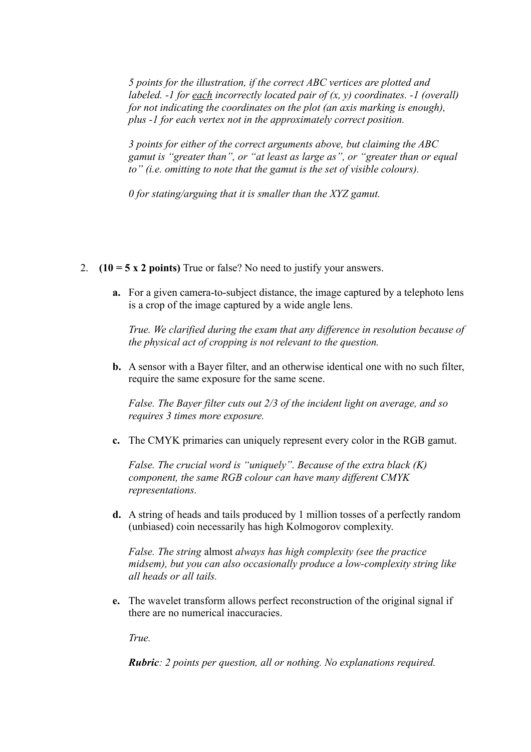*5 points for the illustration, if the correct ABC vertices are plotted and labeled. -1 for each incorrectly located pair of (x, y) coordinates. -1 (overall) for not indicating the coordinates on the plot (an axis marking is enough), plus -1 for each vertex not in the approximately correct position.*

*3 points for either of the correct arguments above, but claiming the ABC gamut is "greater than", or "at least as large as", or "greater than or equal to" (i.e. omitting to note that the gamut is the set of visible colours).*

*0 for stating/arguing that it is smaller than the XYZ gamut.*

- 2. **(10 = 5 x 2 points)** True or false? No need to justify your answers.
	- **a.** For a given camera-to-subject distance, the image captured by a telephoto lens is a crop of the image captured by a wide angle lens.

*True. We clarified during the exam that any difference in resolution because of the physical act of cropping is not relevant to the question.*

**b.** A sensor with a Bayer filter, and an otherwise identical one with no such filter, require the same exposure for the same scene.

*False. The Bayer filter cuts out 2/3 of the incident light on average, and so requires 3 times more exposure.*

**c.** The CMYK primaries can uniquely represent every color in the RGB gamut.

*False. The crucial word is "uniquely". Because of the extra black (K) component, the same RGB colour can have many different CMYK representations.*

**d.** A string of heads and tails produced by 1 million tosses of a perfectly random (unbiased) coin necessarily has high Kolmogorov complexity.

*False. The string* almost *always has high complexity (see the practice midsem), but you can also occasionally produce a low-complexity string like all heads or all tails.*

**e.** The wavelet transform allows perfect reconstruction of the original signal if there are no numerical inaccuracies.

*True.*

*Rubric: 2 points per question, all or nothing. No explanations required.*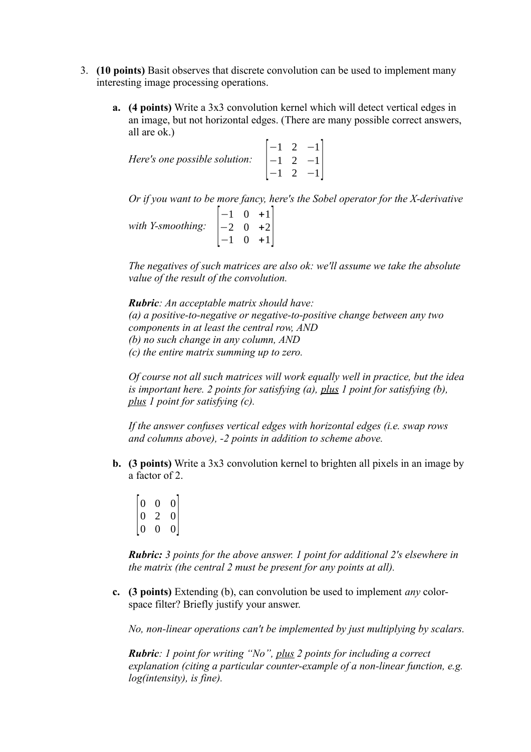- 3. **(10 points)** Basit observes that discrete convolution can be used to implement many interesting image processing operations.
	- **a. (4 points)** Write a 3x3 convolution kernel which will detect vertical edges in an image, but not horizontal edges. (There are many possible correct answers, all are ok.)

| <i>Here's one possible solution:</i> $\begin{bmatrix} -1 & 2 & -1 \\ -1 & 2 & -1 \end{bmatrix}$ |  |                                                           |  |
|-------------------------------------------------------------------------------------------------|--|-----------------------------------------------------------|--|
|                                                                                                 |  |                                                           |  |
|                                                                                                 |  | $\begin{vmatrix} 1 & 2 & -1 \\ -1 & 2 & -1 \end{vmatrix}$ |  |

*Or if you want to be more fancy, here's the Sobel operator for the X-derivative*

*with Y-smoothing:* [ −1 0 +1 −2 0 +2  $\begin{bmatrix} -1 & 0 & +1 \end{bmatrix}$ 

*The negatives of such matrices are also ok: we'll assume we take the absolute value of the result of the convolution.*

*Rubric: An acceptable matrix should have: (a) a positive-to-negative or negative-to-positive change between any two components in at least the central row, AND (b) no such change in any column, AND (c) the entire matrix summing up to zero.*

*Of course not all such matrices will work equally well in practice, but the idea is important here. 2 points for satisfying (a), plus 1 point for satisfying (b), plus 1 point for satisfying (c).*

*If the answer confuses vertical edges with horizontal edges (i.e. swap rows and columns above), -2 points in addition to scheme above.*

- **b. (3 points)** Write a 3x3 convolution kernel to brighten all pixels in an image by a factor of 2.
	- $\overline{0}$  $0 \quad 0 \quad 0$ 0 2 0  $\begin{bmatrix} 0 & 0 & 0 \\ 0 & 0 & 0 \end{bmatrix}$

*Rubric: 3 points for the above answer. 1 point for additional 2's elsewhere in the matrix (the central 2 must be present for any points at all).*

**c. (3 points)** Extending (b), can convolution be used to implement *any* colorspace filter? Briefly justify your answer.

*No, non-linear operations can't be implemented by just multiplying by scalars.*

*Rubric: 1 point for writing "No", plus 2 points for including a correct explanation (citing a particular counter-example of a non-linear function, e.g. log(intensity), is fine).*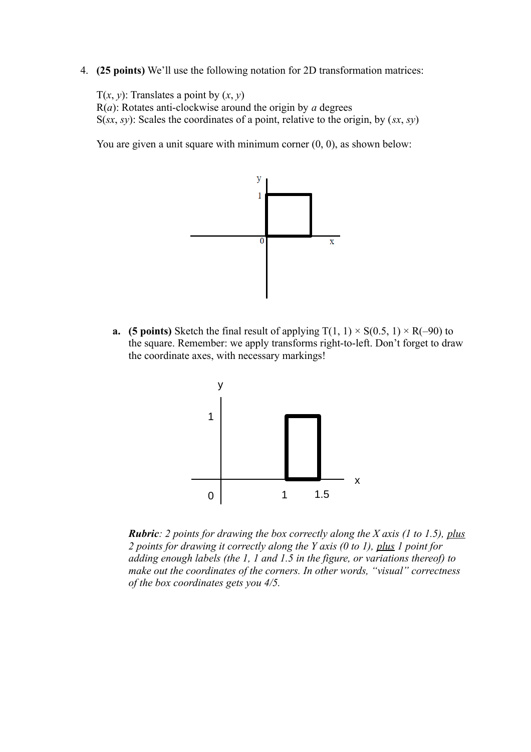4. **(25 points)** We'll use the following notation for 2D transformation matrices:

T( $x$ ,  $y$ ): Translates a point by  $(x, y)$ R(*a*): Rotates anti-clockwise around the origin by *a* degrees S(*sx*, *sy*): Scales the coordinates of a point, relative to the origin, by (*sx*, *sy*)

You are given a unit square with minimum corner  $(0, 0)$ , as shown below:



**a. (5 points)** Sketch the final result of applying  $T(1, 1) \times S(0.5, 1) \times R(-90)$  to the square. Remember: we apply transforms right-to-left. Don't forget to draw the coordinate axes, with necessary markings!



*Rubric: 2 points for drawing the box correctly along the X axis (1 to 1.5), plus 2 points for drawing it correctly along the Y axis (0 to 1), plus 1 point for adding enough labels (the 1, 1 and 1.5 in the figure, or variations thereof) to make out the coordinates of the corners. In other words, "visual" correctness of the box coordinates gets you 4/5.*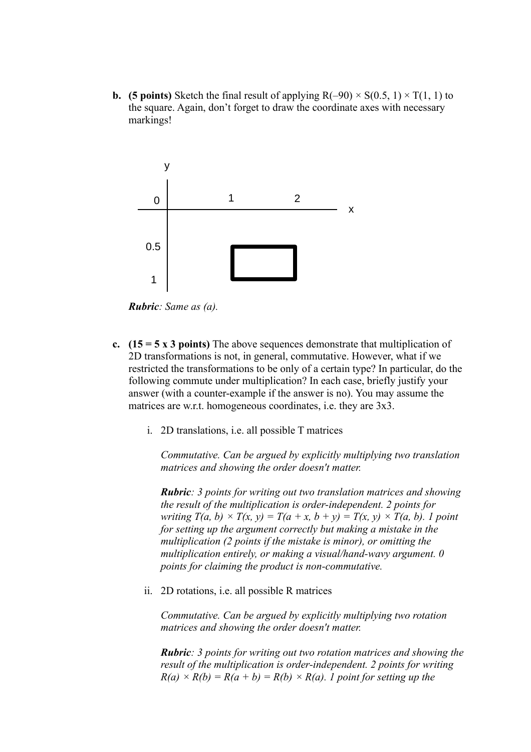**b. (5 points)** Sketch the final result of applying  $R(-90) \times S(0.5, 1) \times T(1, 1)$  to the square. Again, don't forget to draw the coordinate axes with necessary markings!



*Rubric: Same as (a).*

- **c. (15 = 5 x 3 points)** The above sequences demonstrate that multiplication of 2D transformations is not, in general, commutative. However, what if we restricted the transformations to be only of a certain type? In particular, do the following commute under multiplication? In each case, briefly justify your answer (with a counter-example if the answer is no). You may assume the matrices are w.r.t. homogeneous coordinates, i.e. they are 3x3.
	- i. 2D translations, i.e. all possible T matrices

*Commutative. Can be argued by explicitly multiplying two translation matrices and showing the order doesn't matter.*

*Rubric: 3 points for writing out two translation matrices and showing the result of the multiplication is order-independent. 2 points for writing*  $T(a, b) \times T(x, y) = T(a + x, b + y) = T(x, y) \times T(a, b)$ . *I point for setting up the argument correctly but making a mistake in the multiplication (2 points if the mistake is minor), or omitting the multiplication entirely, or making a visual/hand-wavy argument. 0 points for claiming the product is non-commutative.*

ii. 2D rotations, i.e. all possible R matrices

*Commutative. Can be argued by explicitly multiplying two rotation matrices and showing the order doesn't matter.*

*Rubric: 3 points for writing out two rotation matrices and showing the result of the multiplication is order-independent. 2 points for writing*   $R(a) \times R(b) = R(a + b) = R(b) \times R(a)$ . *I point for setting up the*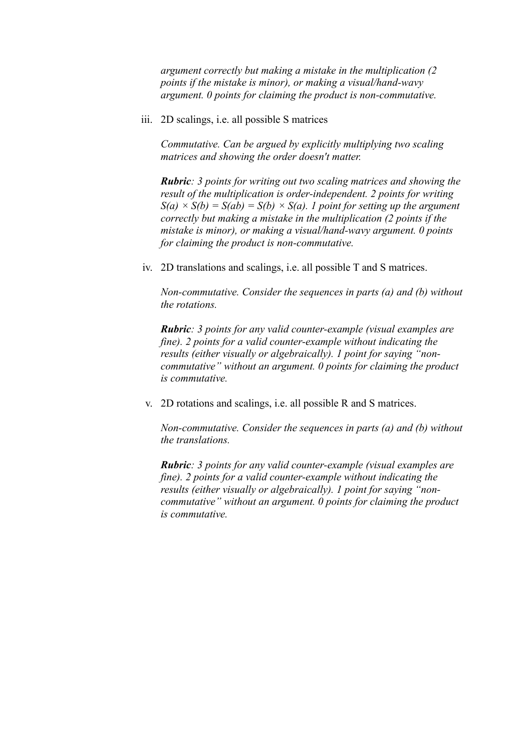*argument correctly but making a mistake in the multiplication (2 points if the mistake is minor), or making a visual/hand-wavy argument. 0 points for claiming the product is non-commutative.*

iii. 2D scalings, i.e. all possible S matrices

*Commutative. Can be argued by explicitly multiplying two scaling matrices and showing the order doesn't matter.*

*Rubric: 3 points for writing out two scaling matrices and showing the result of the multiplication is order-independent. 2 points for writing*   $S(a) \times S(b) = S(ab) = S(b) \times S(a)$ . *I point for setting up the argument correctly but making a mistake in the multiplication (2 points if the mistake is minor), or making a visual/hand-wavy argument. 0 points for claiming the product is non-commutative.*

iv. 2D translations and scalings, i.e. all possible T and S matrices.

*Non-commutative. Consider the sequences in parts (a) and (b) without the rotations.*

*Rubric: 3 points for any valid counter-example (visual examples are fine). 2 points for a valid counter-example without indicating the results (either visually or algebraically). 1 point for saying "noncommutative" without an argument. 0 points for claiming the product is commutative.*

v. 2D rotations and scalings, i.e. all possible R and S matrices.

*Non-commutative. Consider the sequences in parts (a) and (b) without the translations.*

*Rubric: 3 points for any valid counter-example (visual examples are fine). 2 points for a valid counter-example without indicating the results (either visually or algebraically). 1 point for saying "noncommutative" without an argument. 0 points for claiming the product is commutative.*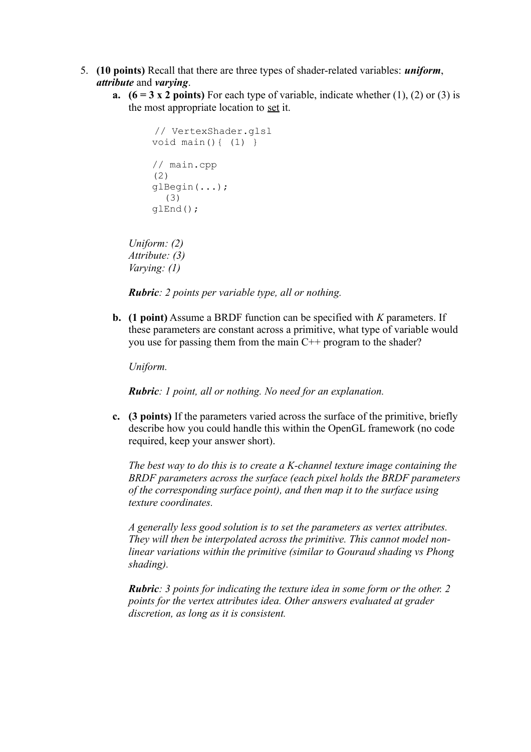- 5. **(10 points)** Recall that there are three types of shader-related variables: *uniform*, *attribute* and *varying*.
	- **a.**  $(6 = 3 \times 2 \text{ points})$  For each type of variable, indicate whether  $(1)$ ,  $(2)$  or  $(3)$  is the most appropriate location to set it.

```
 // VertexShader.glsl
 void main(){ (1) }
 // main.cpp
 (2)
 glBegin(...);
   (3)
 glEnd();
```
*Uniform: (2) Attribute: (3) Varying: (1)*

*Rubric: 2 points per variable type, all or nothing.*

**b. (1 point)** Assume a BRDF function can be specified with *K* parameters. If these parameters are constant across a primitive, what type of variable would you use for passing them from the main C++ program to the shader?

*Uniform.*

*Rubric: 1 point, all or nothing. No need for an explanation.*

**c. (3 points)** If the parameters varied across the surface of the primitive, briefly describe how you could handle this within the OpenGL framework (no code required, keep your answer short).

*The best way to do this is to create a K-channel texture image containing the BRDF parameters across the surface (each pixel holds the BRDF parameters of the corresponding surface point), and then map it to the surface using texture coordinates.*

*A generally less good solution is to set the parameters as vertex attributes. They will then be interpolated across the primitive. This cannot model nonlinear variations within the primitive (similar to Gouraud shading vs Phong shading).*

*Rubric: 3 points for indicating the texture idea in some form or the other. 2 points for the vertex attributes idea. Other answers evaluated at grader discretion, as long as it is consistent.*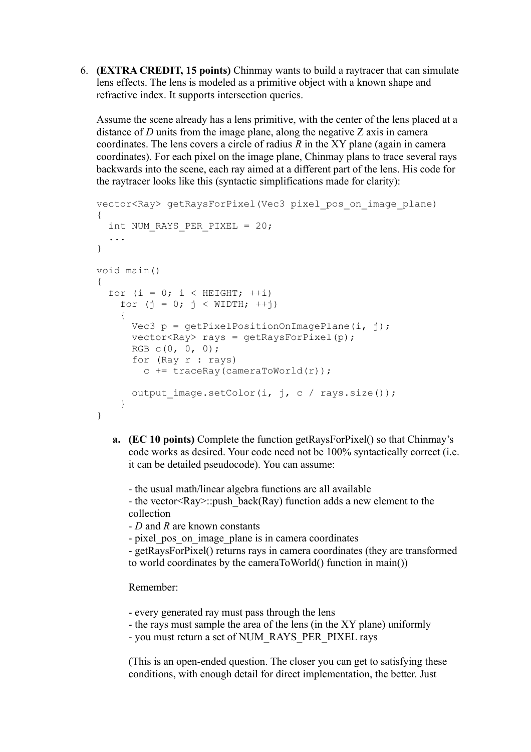6. **(EXTRA CREDIT, 15 points)** Chinmay wants to build a raytracer that can simulate lens effects. The lens is modeled as a primitive object with a known shape and refractive index. It supports intersection queries.

Assume the scene already has a lens primitive, with the center of the lens placed at a distance of *D* units from the image plane, along the negative *Z* axis in camera coordinates. The lens covers a circle of radius  $R$  in the XY plane (again in camera coordinates). For each pixel on the image plane, Chinmay plans to trace several rays backwards into the scene, each ray aimed at a different part of the lens. His code for the raytracer looks like this (syntactic simplifications made for clarity):

```
vector<Ray> getRaysForPixel(Vec3 pixel_pos_on_image_plane)
{
  int NUM RAYS PER PIXEL = 20; ...
}
void main()
{
  for (i = 0; i < HETGHT; ++i)for (j = 0; j < WIDTH; ++j)
\{Vec3 p = getPixelPositionOnImagePlane(i, j);vector < Ray>rayz rays = qetRaysForPixel(p);
      RGB C(0, 0, 0);
       for (Ray r : rays)
        c += traceRay(cameraToWorld(r));
      output image.setColor(i, j, c / rays.size());
     }
}
```
**a. (EC 10 points)** Complete the function getRaysForPixel() so that Chinmay's code works as desired. Your code need not be 100% syntactically correct (i.e. it can be detailed pseudocode). You can assume:

- the usual math/linear algebra functions are all available - the vector  $\langle Ray\rangle$ ::push back(Ray) function adds a new element to the collection

- *D* and *R* are known constants

- pixel pos on image plane is in camera coordinates

- getRaysForPixel() returns rays in camera coordinates (they are transformed to world coordinates by the cameraToWorld() function in main())

Remember:

- every generated ray must pass through the lens
- the rays must sample the area of the lens (in the XY plane) uniformly
- you must return a set of NUM\_RAYS\_PER\_PIXEL rays

(This is an open-ended question. The closer you can get to satisfying these conditions, with enough detail for direct implementation, the better. Just